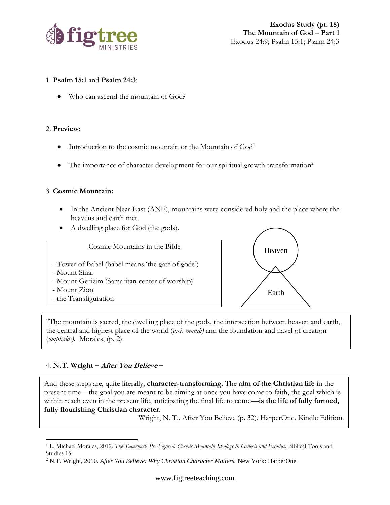

#### 1. **Psalm 15:1** and **Psalm 24:3**:

• Who can ascend the mountain of God?

#### 2. **Preview:**

- Introduction to the cosmic mountain or the Mountain of  $God<sup>1</sup>$
- The importance of character development for our spiritual growth transformation<sup>2</sup>

## 3. **Cosmic Mountain:**

- In the Ancient Near East (ANE), mountains were considered holy and the place where the heavens and earth met.
- A dwelling place for God (the gods).





"The mountain is sacred, the dwelling place of the gods, the intersection between heaven and earth, the central and highest place of the world (*axis mundi)* and the foundation and navel of creation (*omphalos).* Morales, (p. 2)

# 4. **N.T. Wright – After You Believe –**

And these steps are, quite literally, **character-transforming**. The **aim of the Christian life** in the present time—the goal you are meant to be aiming at once you have come to faith, the goal which is within reach even in the present life, anticipating the final life to come—**is the life of fully formed, fully flourishing Christian character.**

Wright, N. T.. After You Believe (p. 32). HarperOne. Kindle Edition.

<sup>1</sup> L. Michael Morales, 2012. *The Tabernacle Pre-Figured: Cosmic Mountain Ideology in Genesis and Exodus.* Biblical Tools and Studies 15.

<sup>&</sup>lt;sup>2</sup> N.T. Wright, 2010. After You Believe: Why Christian Character Matters. New York: HarperOne.